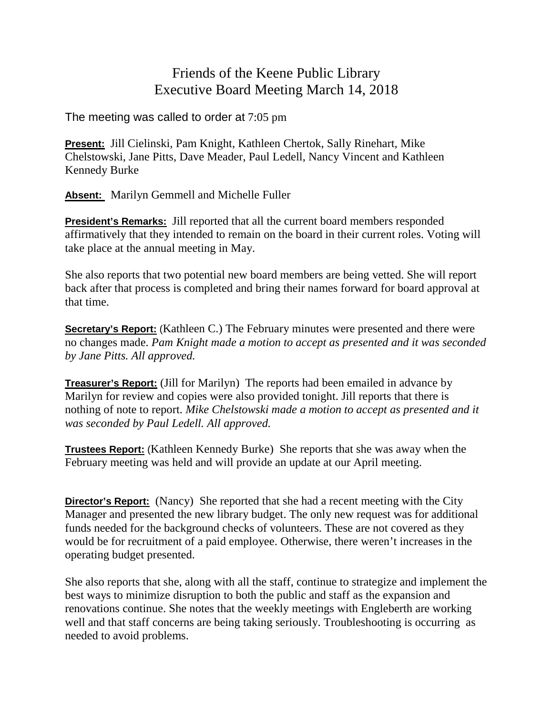## Friends of the Keene Public Library Executive Board Meeting March 14, 2018

The meeting was called to order at 7:05 pm

**Present:** Jill Cielinski, Pam Knight, Kathleen Chertok, Sally Rinehart, Mike Chelstowski, Jane Pitts, Dave Meader, Paul Ledell, Nancy Vincent and Kathleen Kennedy Burke

**Absent:** Marilyn Gemmell and Michelle Fuller

**President's Remarks:** Jill reported that all the current board members responded affirmatively that they intended to remain on the board in their current roles. Voting will take place at the annual meeting in May.

She also reports that two potential new board members are being vetted. She will report back after that process is completed and bring their names forward for board approval at that time.

**Secretary's Report:** (Kathleen C.) The February minutes were presented and there were no changes made. *Pam Knight made a motion to accept as presented and it was seconded by Jane Pitts. All approved.*

**Treasurer's Report:** (Jill for Marilyn) The reports had been emailed in advance by Marilyn for review and copies were also provided tonight. Jill reports that there is nothing of note to report. *Mike Chelstowski made a motion to accept as presented and it was seconded by Paul Ledell. All approved.*

**Trustees Report:** (Kathleen Kennedy Burke) She reports that she was away when the February meeting was held and will provide an update at our April meeting.

**Director's Report:** (Nancy) She reported that she had a recent meeting with the City Manager and presented the new library budget. The only new request was for additional funds needed for the background checks of volunteers. These are not covered as they would be for recruitment of a paid employee. Otherwise, there weren't increases in the operating budget presented.

She also reports that she, along with all the staff, continue to strategize and implement the best ways to minimize disruption to both the public and staff as the expansion and renovations continue. She notes that the weekly meetings with Engleberth are working well and that staff concerns are being taking seriously. Troubleshooting is occurring as needed to avoid problems.